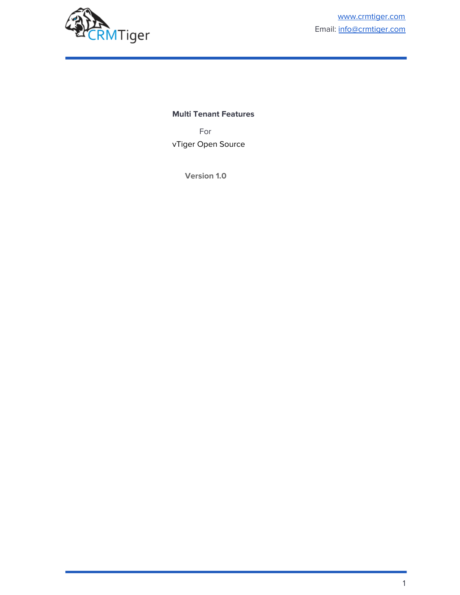

## **Multi Tenant Features**

For vTiger Open Source

**Version 1.0**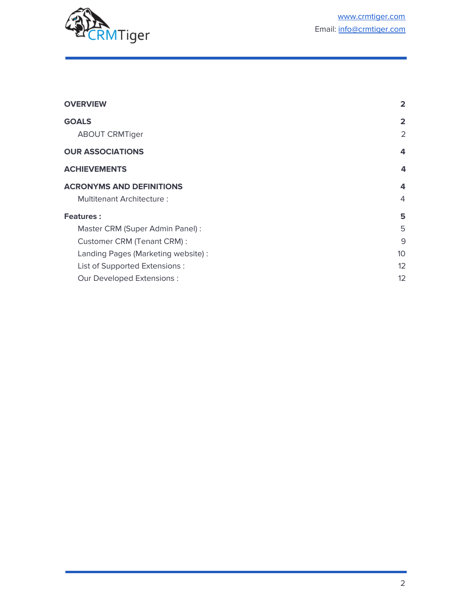

| <b>OVERVIEW</b>                    | $\overline{2}$ |
|------------------------------------|----------------|
| <b>GOALS</b>                       | $\overline{2}$ |
| <b>ABOUT CRMTiger</b>              | 2              |
| <b>OUR ASSOCIATIONS</b>            | 4              |
| <b>ACHIEVEMENTS</b>                | 4              |
| <b>ACRONYMS AND DEFINITIONS</b>    | 4              |
| <b>Multitenant Architecture:</b>   | $\overline{4}$ |
| <b>Features:</b>                   | 5              |
| Master CRM (Super Admin Panel) :   | 5              |
| Customer CRM (Tenant CRM):         | 9              |
| Landing Pages (Marketing website): | 10             |
| List of Supported Extensions :     | 12             |
| Our Developed Extensions :         | 12             |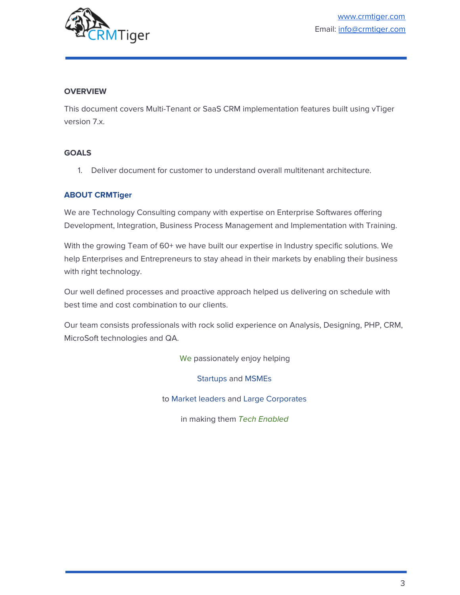

# <span id="page-2-0"></span>**OVERVIEW**

This document covers Multi-Tenant or SaaS CRM implementation features built using vTiger version 7.x.

## <span id="page-2-1"></span>**GOALS**

1. Deliver document for customer to understand overall multitenant architecture.

# <span id="page-2-2"></span>**ABOUT CRMTiger**

We are Technology Consulting company with expertise on Enterprise Softwares offering Development, Integration, Business Process Management and Implementation with Training.

With the growing Team of 60+ we have built our expertise in Industry specific solutions. We help Enterprises and Entrepreneurs to stay ahead in their markets by enabling their business with right technology.

Our well defined processes and proactive approach helped us delivering on schedule with best time and cost combination to our clients.

Our team consists professionals with rock solid experience on Analysis, Designing, PHP, CRM, MicroSoft technologies and QA.

We passionately enjoy helping

Startups and MSMEs

to Market leaders and Large Corporates

in making them Tech Enabled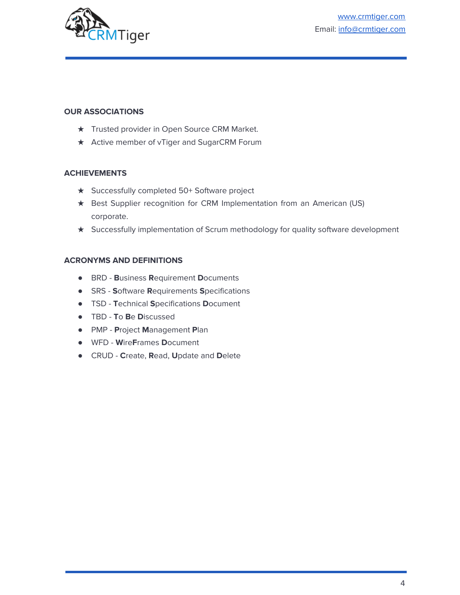

### <span id="page-3-0"></span>**OUR ASSOCIATIONS**

- ★ Trusted provider in Open Source CRM Market.
- <span id="page-3-1"></span>★ Active member of vTiger and SugarCRM Forum

## **ACHIEVEMENTS**

- ★ Successfully completed 50+ Software project
- ★ Best Supplier recognition for CRM Implementation from an American (US) corporate.
- ★ Successfully implementation of Scrum methodology for quality software development

## <span id="page-3-2"></span>**ACRONYMS AND DEFINITIONS**

- BRD **B**usiness **R**equirement **D**ocuments
- SRS **S**oftware **R**equirements **S**pecifications
- TSD **T**echnical **S**pecifications **D**ocument
- TBD **T**o **B**e **D**iscussed
- PMP **P**roject **M**anagement **P**lan
- WFD **W**ire**F**rames **D**ocument
- CRUD **C**reate, **R**ead, **U**pdate and **D**elete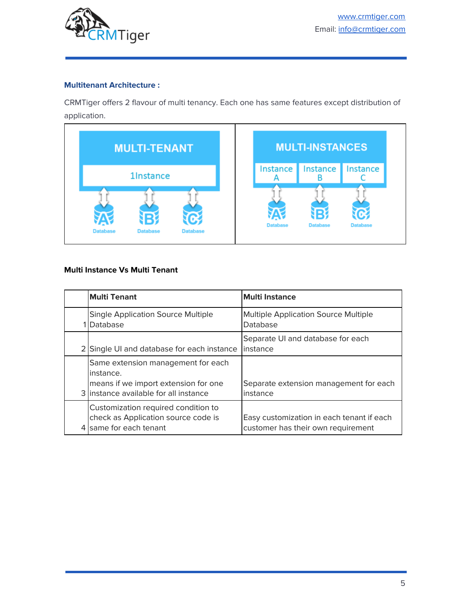

## <span id="page-4-0"></span>**Multitenant Architecture :**

CRMTiger offers 2 flavour of multi tenancy. Each one has same features except distribution of application.

| <b>MULTI-TENANT</b>                                        |                 | <b>MULTI-INSTANCES</b> |                 |
|------------------------------------------------------------|-----------------|------------------------|-----------------|
| <b>1Instance</b>                                           | Instance        | Instance               | Instance        |
| α<br><b>Database</b><br><b>Database</b><br><b>Database</b> | <b>Database</b> | <b>Database</b>        | <b>Database</b> |

# **Multi Instance Vs Multi Tenant**

| <b>Multi Tenant</b>                                                                                                               | <b>Multi Instance</b>                                                           |
|-----------------------------------------------------------------------------------------------------------------------------------|---------------------------------------------------------------------------------|
| <b>Single Application Source Multiple</b><br>Database                                                                             | <b>Multiple Application Source Multiple</b><br>Database                         |
| 2 Single UI and database for each instance                                                                                        | Separate UI and database for each<br>linstance                                  |
| Same extension management for each<br>instance.<br>means if we import extension for one<br>3 linstance available for all instance | Separate extension management for each<br>instance                              |
| Customization required condition to<br>check as Application source code is<br>same for each tenant                                | Easy customization in each tenant if each<br>customer has their own requirement |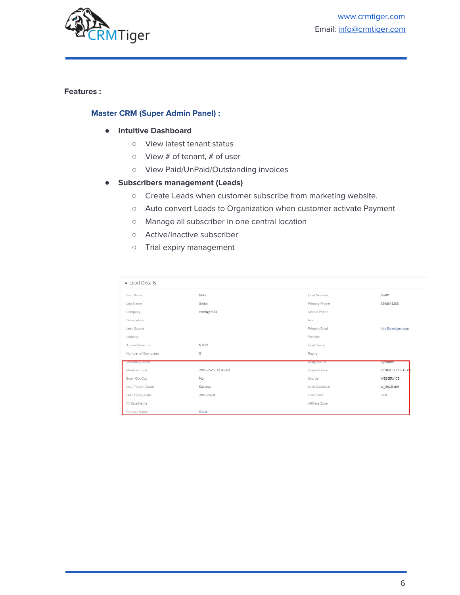

## <span id="page-5-1"></span><span id="page-5-0"></span>**Features :**

#### **Master CRM (Super Admin Panel) :**

#### **● Intuitive Dashboard**

- View latest tenant status
- View # of tenant, # of user
- View Paid/UnPaid/Outstanding invoices
- **● Subscribers management (Leads)**
	- Create Leads when customer subscribe from marketing website.
	- Auto convert Leads to Organization when customer activate Payment
	- Manage all subscriber in one central location
	- Active/Inactive subscriber
	- Trial expiry management

| Lead Details        |                     |                |                     |
|---------------------|---------------------|----------------|---------------------|
| First Name          | Mike                | Lead Number    | LEA81               |
| Last Name           | Smith               | Primary Phone  | 6308618263          |
| Company             | crmtiger123         | Mobile Phone   |                     |
| Designation         |                     | Fax            |                     |
| Lead Source         |                     | Primary Email  | info@crmtiger.com   |
| Industry            |                     | Website        |                     |
| Annual Revenue      | \$0.00              | Lead Status    |                     |
| Number of Employees | $\circ$             | Rating         |                     |
| secondary cmail     |                     | Assigned to    | my smith            |
| Modified Time       | 2018-05-17 12:45 PM | Created Time   | 2018-05-17 12:45 PM |
| Email Opt Out       | No                  | Source         | WEBSERVICE          |
| Lead Tenant Status  | Success             | Lead Database  | ct_tfbz2ilzb9       |
| Lead Expiry Date    | 2018-05-31          | User Limit     | 2.00                |
| Affiliate Name      |                     | Affiliate Code |                     |
| Product Name        | Silver              |                |                     |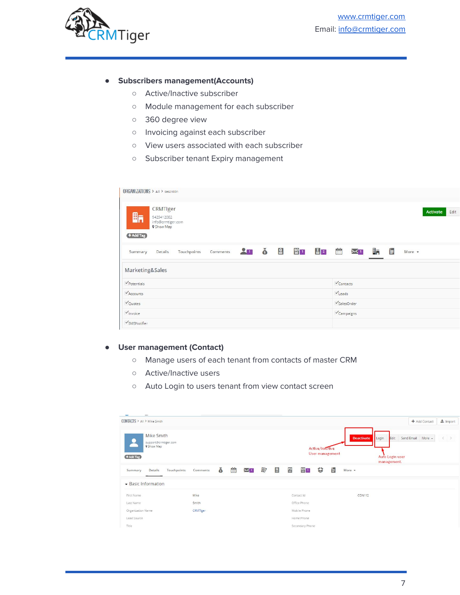

### **● Subscribers management(Accounts)**

- Active/Inactive subscriber
- Module management for each subscriber
- 360 degree view
- Invoicing against each subscriber
- View users associated with each subscriber
- Subscriber tenant Expiry management

| ORGANIZATIONS > All > testnitin                                                |                                                                                                            |
|--------------------------------------------------------------------------------|------------------------------------------------------------------------------------------------------------|
| CRMTIger<br>晌<br>9429412082<br>info@crmtiger.com<br>9 Show Map<br>+ Add Tag    | Edit<br>Activate                                                                                           |
| $200$ $\delta$ $20$ $20$ $20$<br>Comments<br>Touchpoints<br>Details<br>Summary | 訇<br>$\begin{bmatrix} 0 & 0 \\ \vdots & \vdots \\ 0 & 0 \end{bmatrix}$<br>⊞a<br>$\times$ 1<br>More $\star$ |
| Marketing&Sales                                                                |                                                                                                            |
| $\nu$ Potentials                                                               | $\checkmark$ Contacts                                                                                      |
| $\checkmark$ Accounts                                                          | $\checkmark$ Leads                                                                                         |
| $\sqrt{\phantom{a}}$ Quotes                                                    | $\sqrt{\frac{1}{2}}$ SalesOrder                                                                            |
| Vinvoice                                                                       | $\checkmark$ Campaigns                                                                                     |
| SMSNotifier                                                                    |                                                                                                            |

#### **● User management (Contact)**

- Manage users of each tenant from contacts of master CRM
- Active/Inactive users
- Auto Login to users tenant from view contact screen

| CONTACTS > All > Mike Smith                                          |          |                                                              |                |     |          |   |                  |                 |                 |                   |                                                 | + Add Contact        | $\frac{1}{26}$ Import |
|----------------------------------------------------------------------|----------|--------------------------------------------------------------|----------------|-----|----------|---|------------------|-----------------|-----------------|-------------------|-------------------------------------------------|----------------------|-----------------------|
| Mike Smith<br>support@crmtiger.com<br><b>9 Show Map</b><br>+ Add Tag |          |                                                              |                |     |          |   |                  | Active/InActive | User management | <b>Deactivate</b> | Edit<br>Login<br>Auto Login user<br>management. | Send Email<br>More - | $\langle$ >           |
| Details<br>Touchpoints<br>Summary                                    | Comments | ŏ<br>$\begin{bmatrix} 0 & 0 \\ 0 & 0 \\ 0 & 0 \end{bmatrix}$ | $\mathsf{X}^+$ | (回) | <b>₽</b> | 曾 | $\frac{SO}{2}$ 1 | €               | 自               | More *            |                                                 |                      |                       |
| Basic Information                                                    |          |                                                              |                |     |          |   |                  |                 |                 |                   |                                                 |                      |                       |
| First Name                                                           | Mike     |                                                              |                |     |          |   | Contact Id       |                 |                 | <b>CON112</b>     |                                                 |                      |                       |
| Last Name                                                            | Smith    |                                                              |                |     |          |   | Office Phone     |                 |                 |                   |                                                 |                      |                       |
| Organization Name                                                    | CRMTIger |                                                              |                |     |          |   | Mobile Phone     |                 |                 |                   |                                                 |                      |                       |
| Lead Source                                                          |          |                                                              |                |     |          |   | Home Phone       |                 |                 |                   |                                                 |                      |                       |
| Title                                                                |          |                                                              |                |     |          |   | Secondary Phone  |                 |                 |                   |                                                 |                      |                       |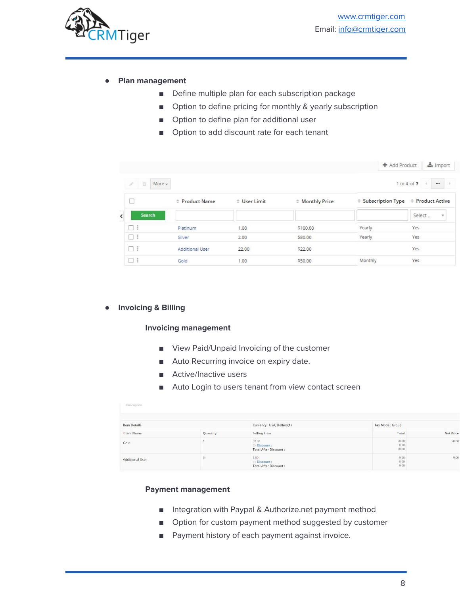

## **● Plan management**

- Define multiple plan for each subscription package
- Option to define pricing for monthly & yearly subscription
- Option to define plan for additional user
- Option to add discount rate for each tenant

|                          |                    |                        |              |                 | + Add Product | $\frac{1}{2}$ Import   |
|--------------------------|--------------------|------------------------|--------------|-----------------|---------------|------------------------|
|                          | 盲<br>$More -$<br>8 |                        |              |                 |               | 1 to 4 of ?<br>        |
|                          |                    | # Product Name         | # User Limit | # Monthly Price |               |                        |
| $\overline{\phantom{a}}$ | <b>Search</b>      |                        |              |                 |               | Select<br>$\mathbf{v}$ |
|                          |                    | Platinum               | 1.00         | \$100.00        | Yearly        | Yes                    |
|                          | □∃                 | Silver.                | 2.00         | \$80.00         | Yearly        | Yes:                   |
|                          | $\Box$             | <b>Additional User</b> | 22.00        | \$22.00         |               | Yes                    |
|                          | □∔                 | Gold                   | 1.00         | \$50.00         | Monthly       | Yes                    |

#### **● Invoicing & Billing**

#### **Invoicing management**

- View Paid/Unpaid Invoicing of the customer
- Auto Recurring invoice on expiry date.
- Active/Inactive users
- Auto Login to users tenant from view contact screen

| Description     |          |                                                         |                        |                  |
|-----------------|----------|---------------------------------------------------------|------------------------|------------------|
| Item Details    |          | Currency: USA, Dollars(\$)                              | Tax Mode: Group        |                  |
| *Item Name      | Quantity | <b>Selling Price</b>                                    | Total                  | <b>Net Price</b> |
| Gold            |          | 50.00<br>(-) Discount :<br><b>Total After Discount:</b> | 50.00<br>0.00<br>50.00 | 50.00            |
| Additional User |          | 3.00<br>(-) Discount :<br><b>Total After Discount:</b>  | 9.00<br>0.00<br>9.00   | 9.00             |

#### **Payment management**

- Integration with Paypal & Authorize.net payment method
- Option for custom payment method suggested by customer
- Payment history of each payment against invoice.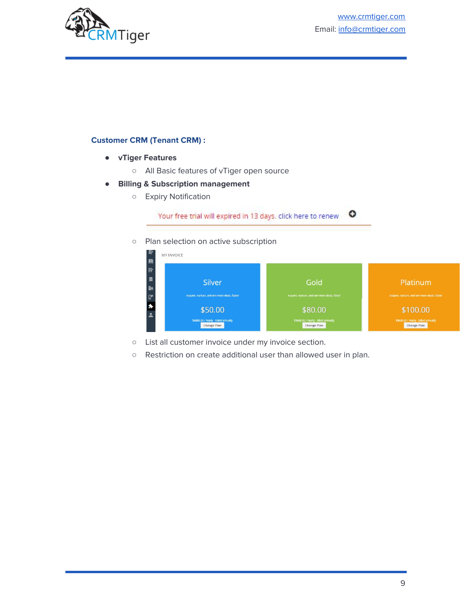

# <span id="page-8-0"></span>**Customer CRM (Tenant CRM) :**

- **● vTiger Features**
	- All Basic features of vTiger open source
- **● Billing & Subscription management**
	- Expiry Notification



○ Plan selection on active subscription



- List all customer invoice under my invoice section.
- Restriction on create additional user than allowed user in plan.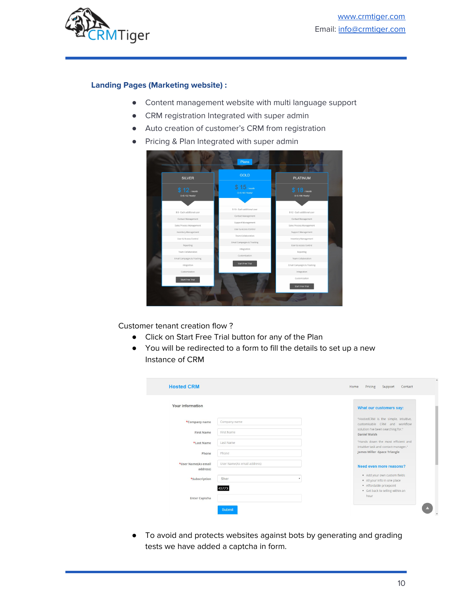

### <span id="page-9-0"></span>**Landing Pages (Marketing website) :**

- Content management website with multi language support
- CRM registration Integrated with super admin
- Auto creation of customer's CRM from registration
- Pricing & Plan Integrated with super admin



Customer tenant creation flow ?

- Click on Start Free Trial button for any of the Plan
- You will be redirected to a form to fill the details to set up a new Instance of CRM

| Your information                |                             | What our customers say:                                                    |
|---------------------------------|-----------------------------|----------------------------------------------------------------------------|
| *Company name                   | Company name                | "HostedCRM is the simple, intuitive,<br>customisable CRM and workflow      |
| <b>First Name</b>               | First Name                  | solution I've been searching for."<br>Daniel Walsh                         |
| *Last Name                      | Last Name                   | "Hands down the most efficient and<br>intuitive task and contact manager." |
| Phone                           | Phone                       | James Miller -Space Triangle                                               |
| *User Name(As email<br>address) | User Name(As email address) | Need even more reasons?                                                    |
| *Subscription                   | Silver                      | · Add your own custom fields<br>. All your info in one place               |
|                                 | 43773                       | · Affordable pricepoint<br>· Get back to selling within an                 |
| Enter Captcha                   |                             | hour                                                                       |

● To avoid and protects websites against bots by generating and grading tests we have added a captcha in form.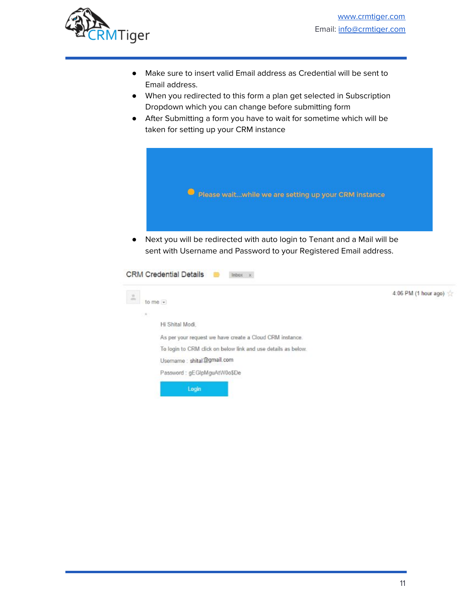

- Make sure to insert valid Email address as Credential will be sent to Email address.
- When you redirected to this form a plan get selected in Subscription Dropdown which you can change before submitting form
- After Submitting a form you have to wait for sometime which will be taken for setting up your CRM instance



sent with Username and Password to your Registered Email address.

| $\frac{\alpha}{\sin \alpha}$ | to me $\star$                                                 | 4:06 PM (1 hour ago) |
|------------------------------|---------------------------------------------------------------|----------------------|
| $\theta$                     |                                                               |                      |
|                              | Hi Shital Modi.                                               |                      |
|                              | As per your request we have create a Cloud CRM instance.      |                      |
|                              | To login to CRM click on below link and use details as below. |                      |
|                              | Username : shital@gmail.com                                   |                      |
|                              | Password: gEGIpMguAtW0o\$De                                   |                      |
|                              | Login                                                         |                      |